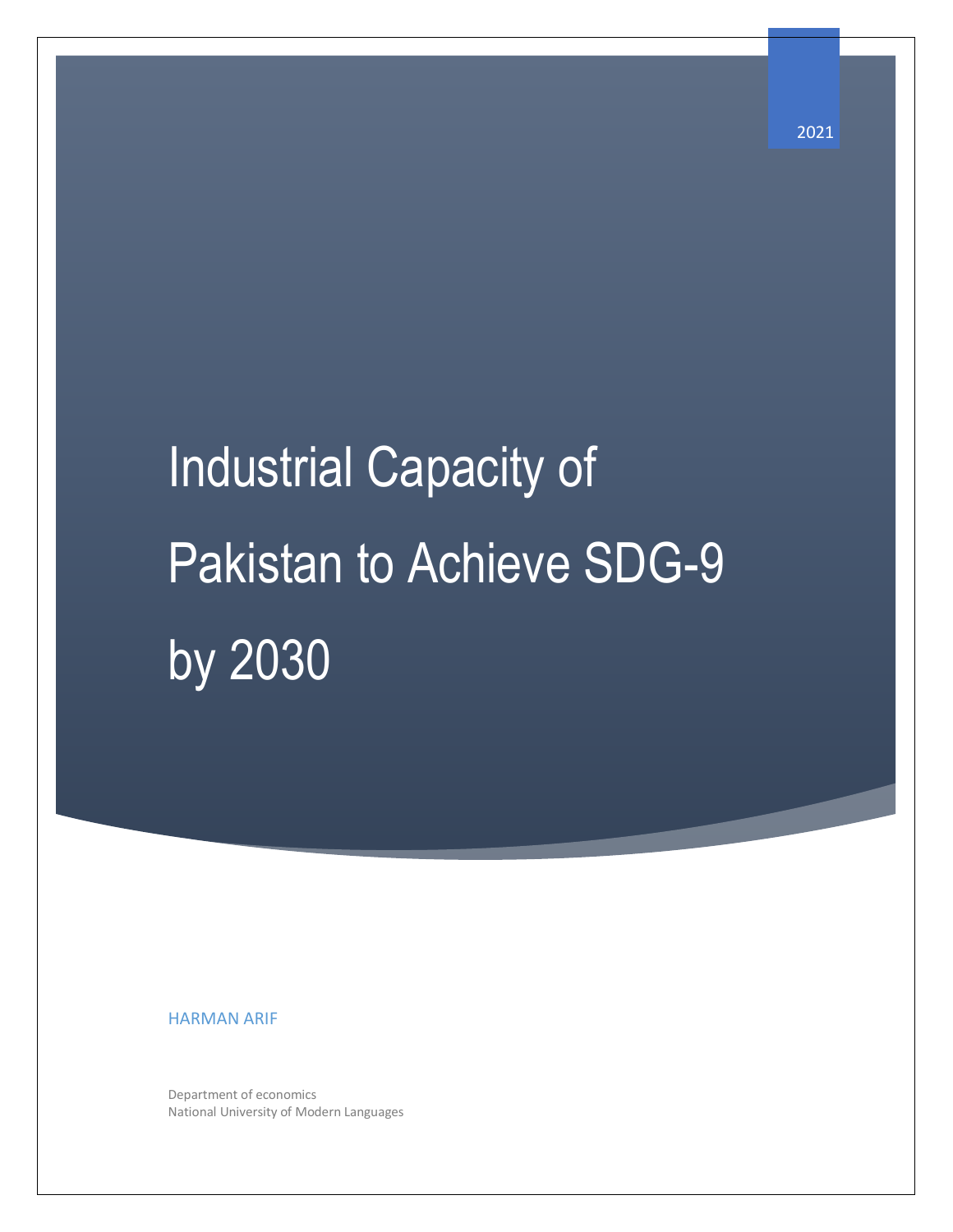# Industrial Capacity of Pakistan to Achieve SDG-9 by 2030

HARMAN ARIF

Department of economics National University of Modern Languages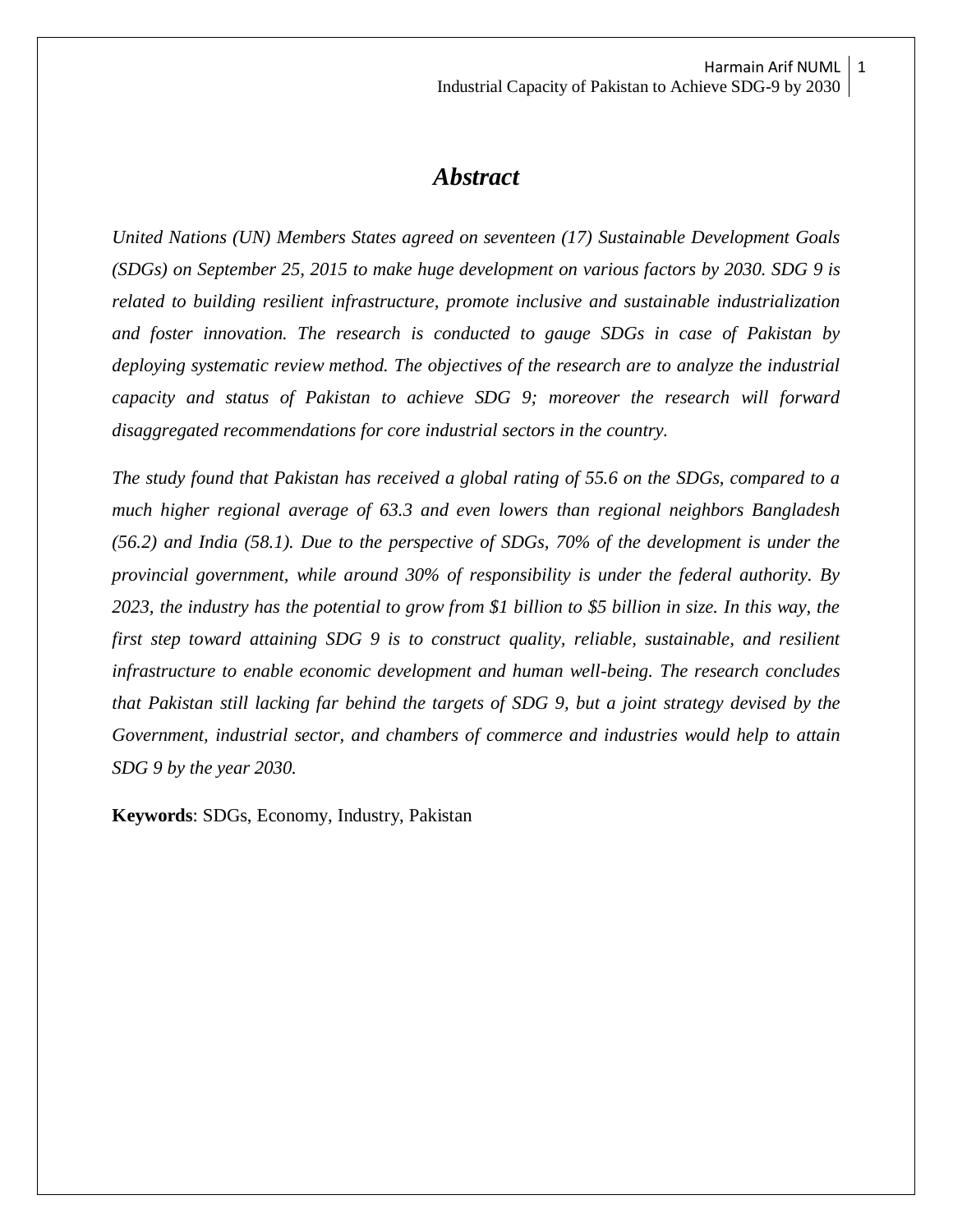# *Abstract*

*United Nations (UN) Members States agreed on seventeen (17) Sustainable Development Goals (SDGs) on September 25, 2015 to make huge development on various factors by 2030. SDG 9 is related to building resilient infrastructure, promote inclusive and sustainable industrialization and foster innovation. The research is conducted to gauge SDGs in case of Pakistan by deploying systematic review method. The objectives of the research are to analyze the industrial capacity and status of Pakistan to achieve SDG 9; moreover the research will forward disaggregated recommendations for core industrial sectors in the country.* 

*The study found that Pakistan has received a global rating of 55.6 on the SDGs, compared to a much higher regional average of 63.3 and even lowers than regional neighbors Bangladesh (56.2) and India (58.1). Due to the perspective of SDGs, 70% of the development is under the provincial government, while around 30% of responsibility is under the federal authority. By 2023, the industry has the potential to grow from \$1 billion to \$5 billion in size. In this way, the first step toward attaining SDG 9 is to construct quality, reliable, sustainable, and resilient infrastructure to enable economic development and human well-being. The research concludes that Pakistan still lacking far behind the targets of SDG 9, but a joint strategy devised by the Government, industrial sector, and chambers of commerce and industries would help to attain SDG 9 by the year 2030.*

**Keywords**: SDGs, Economy, Industry, Pakistan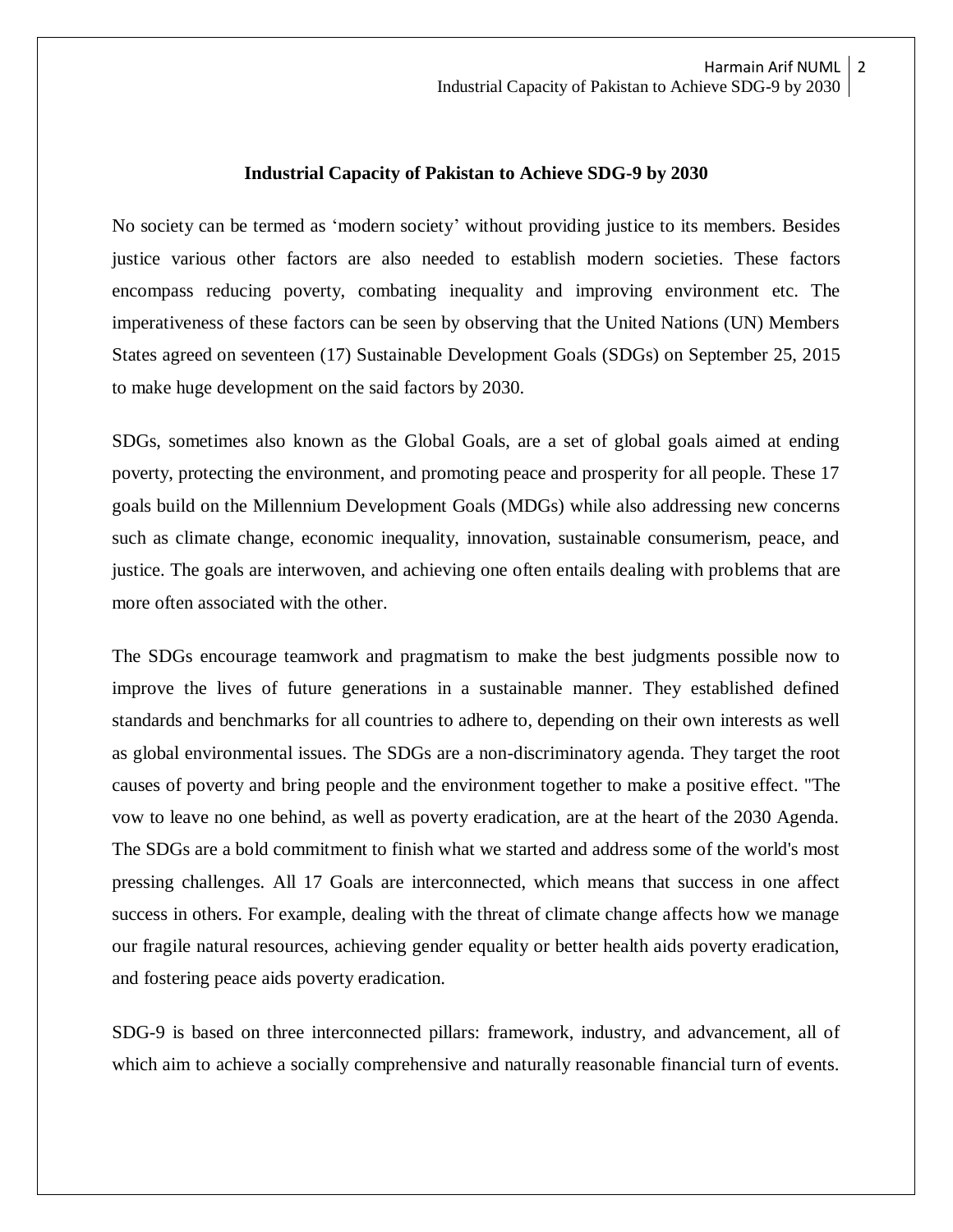#### **Industrial Capacity of Pakistan to Achieve SDG-9 by 2030**

No society can be termed as 'modern society' without providing justice to its members. Besides justice various other factors are also needed to establish modern societies. These factors encompass reducing poverty, combating inequality and improving environment etc. The imperativeness of these factors can be seen by observing that the United Nations (UN) Members States agreed on seventeen (17) Sustainable Development Goals (SDGs) on September 25, 2015 to make huge development on the said factors by 2030.

SDGs, sometimes also known as the Global Goals, are a set of global goals aimed at ending poverty, protecting the environment, and promoting peace and prosperity for all people. These 17 goals build on the Millennium Development Goals (MDGs) while also addressing new concerns such as climate change, economic inequality, innovation, sustainable consumerism, peace, and justice. The goals are interwoven, and achieving one often entails dealing with problems that are more often associated with the other.

The SDGs encourage teamwork and pragmatism to make the best judgments possible now to improve the lives of future generations in a sustainable manner. They established defined standards and benchmarks for all countries to adhere to, depending on their own interests as well as global environmental issues. The SDGs are a non-discriminatory agenda. They target the root causes of poverty and bring people and the environment together to make a positive effect. "The vow to leave no one behind, as well as poverty eradication, are at the heart of the 2030 Agenda. The SDGs are a bold commitment to finish what we started and address some of the world's most pressing challenges. All 17 Goals are interconnected, which means that success in one affect success in others. For example, dealing with the threat of climate change affects how we manage our fragile natural resources, achieving gender equality or better health aids poverty eradication, and fostering peace aids poverty eradication.

SDG-9 is based on three interconnected pillars: framework, industry, and advancement, all of which aim to achieve a socially comprehensive and naturally reasonable financial turn of events.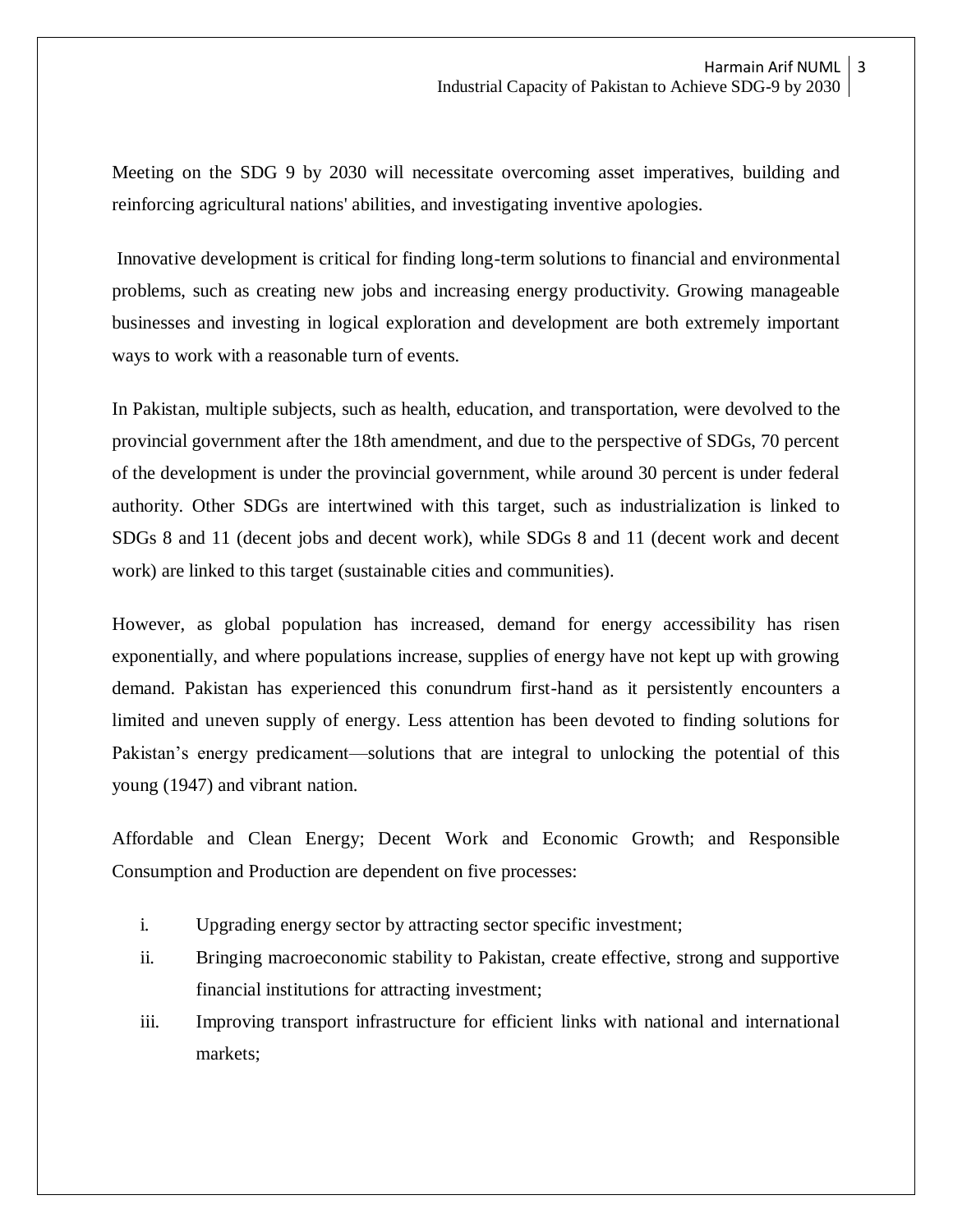Meeting on the SDG 9 by 2030 will necessitate overcoming asset imperatives, building and reinforcing agricultural nations' abilities, and investigating inventive apologies.

Innovative development is critical for finding long-term solutions to financial and environmental problems, such as creating new jobs and increasing energy productivity. Growing manageable businesses and investing in logical exploration and development are both extremely important ways to work with a reasonable turn of events.

In Pakistan, multiple subjects, such as health, education, and transportation, were devolved to the provincial government after the 18th amendment, and due to the perspective of SDGs, 70 percent of the development is under the provincial government, while around 30 percent is under federal authority. Other SDGs are intertwined with this target, such as industrialization is linked to SDGs 8 and 11 (decent jobs and decent work), while SDGs 8 and 11 (decent work and decent work) are linked to this target (sustainable cities and communities).

However, as global population has increased, demand for energy accessibility has risen exponentially, and where populations increase, supplies of energy have not kept up with growing demand. Pakistan has experienced this conundrum first-hand as it persistently encounters a limited and uneven supply of energy. Less attention has been devoted to finding solutions for Pakistan's energy predicament—solutions that are integral to unlocking the potential of this young (1947) and vibrant nation.

Affordable and Clean Energy; Decent Work and Economic Growth; and Responsible Consumption and Production are dependent on five processes:

- i. Upgrading energy sector by attracting sector specific investment;
- ii. Bringing macroeconomic stability to Pakistan, create effective, strong and supportive financial institutions for attracting investment;
- iii. Improving transport infrastructure for efficient links with national and international markets;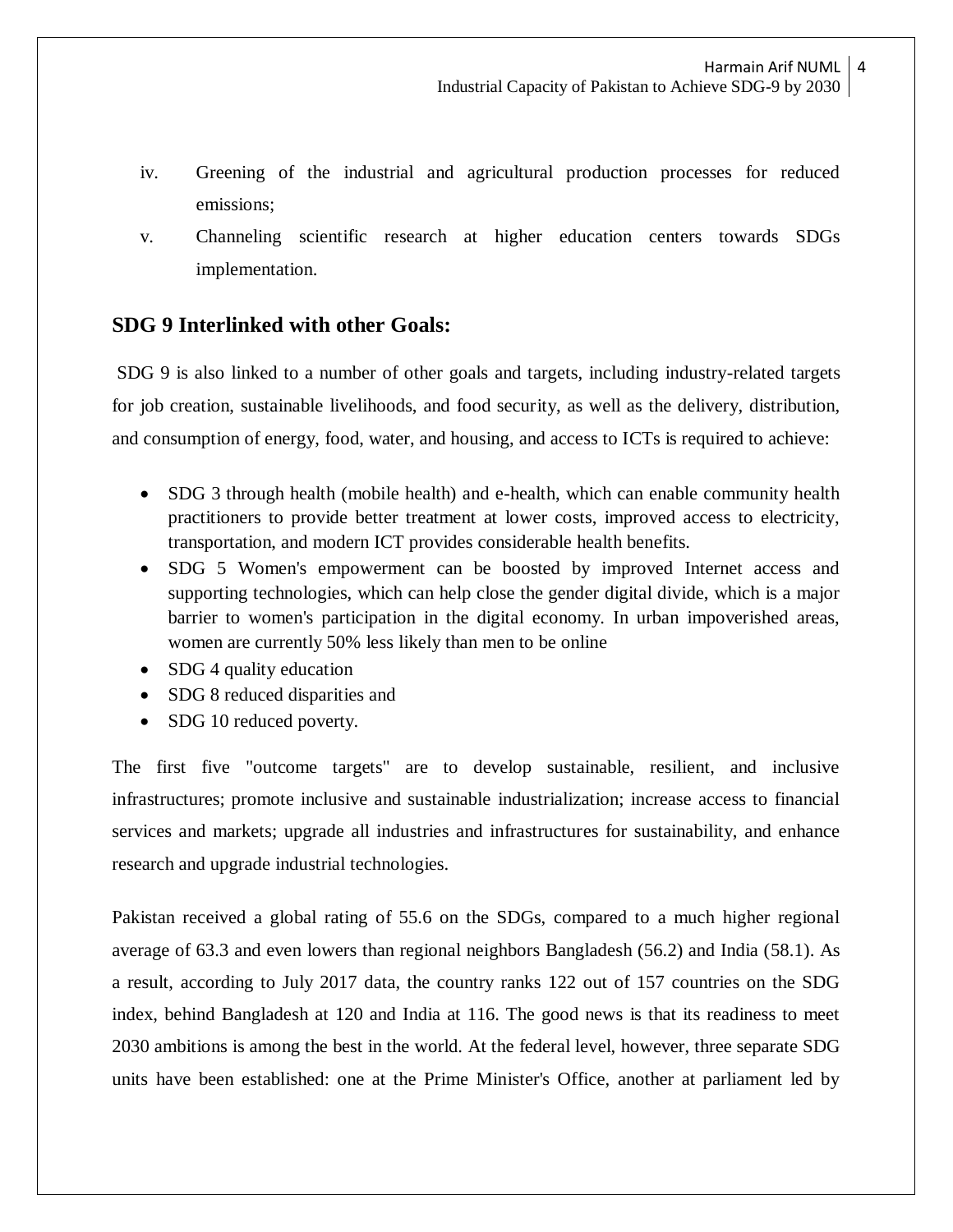- iv. Greening of the industrial and agricultural production processes for reduced emissions;
- v. Channeling scientific research at higher education centers towards SDGs implementation.

# **SDG 9 Interlinked with other Goals:**

SDG 9 is also linked to a number of other goals and targets, including industry-related targets for job creation, sustainable livelihoods, and food security, as well as the delivery, distribution, and consumption of energy, food, water, and housing, and access to ICTs is required to achieve:

- SDG 3 through health (mobile health) and e-health, which can enable community health practitioners to provide better treatment at lower costs, improved access to electricity, transportation, and modern ICT provides considerable health benefits.
- SDG 5 Women's empowerment can be boosted by improved Internet access and supporting technologies, which can help close the gender digital divide, which is a major barrier to women's participation in the digital economy. In urban impoverished areas, women are currently 50% less likely than men to be online
- SDG 4 quality education
- SDG 8 reduced disparities and
- SDG 10 reduced poverty.

The first five "outcome targets" are to develop sustainable, resilient, and inclusive infrastructures; promote inclusive and sustainable industrialization; increase access to financial services and markets; upgrade all industries and infrastructures for sustainability, and enhance research and upgrade industrial technologies.

Pakistan received a global rating of 55.6 on the SDGs, compared to a much higher regional average of 63.3 and even lowers than regional neighbors Bangladesh (56.2) and India (58.1). As a result, according to July 2017 data, the country ranks 122 out of 157 countries on the SDG index, behind Bangladesh at 120 and India at 116. The good news is that its readiness to meet 2030 ambitions is among the best in the world. At the federal level, however, three separate SDG units have been established: one at the Prime Minister's Office, another at parliament led by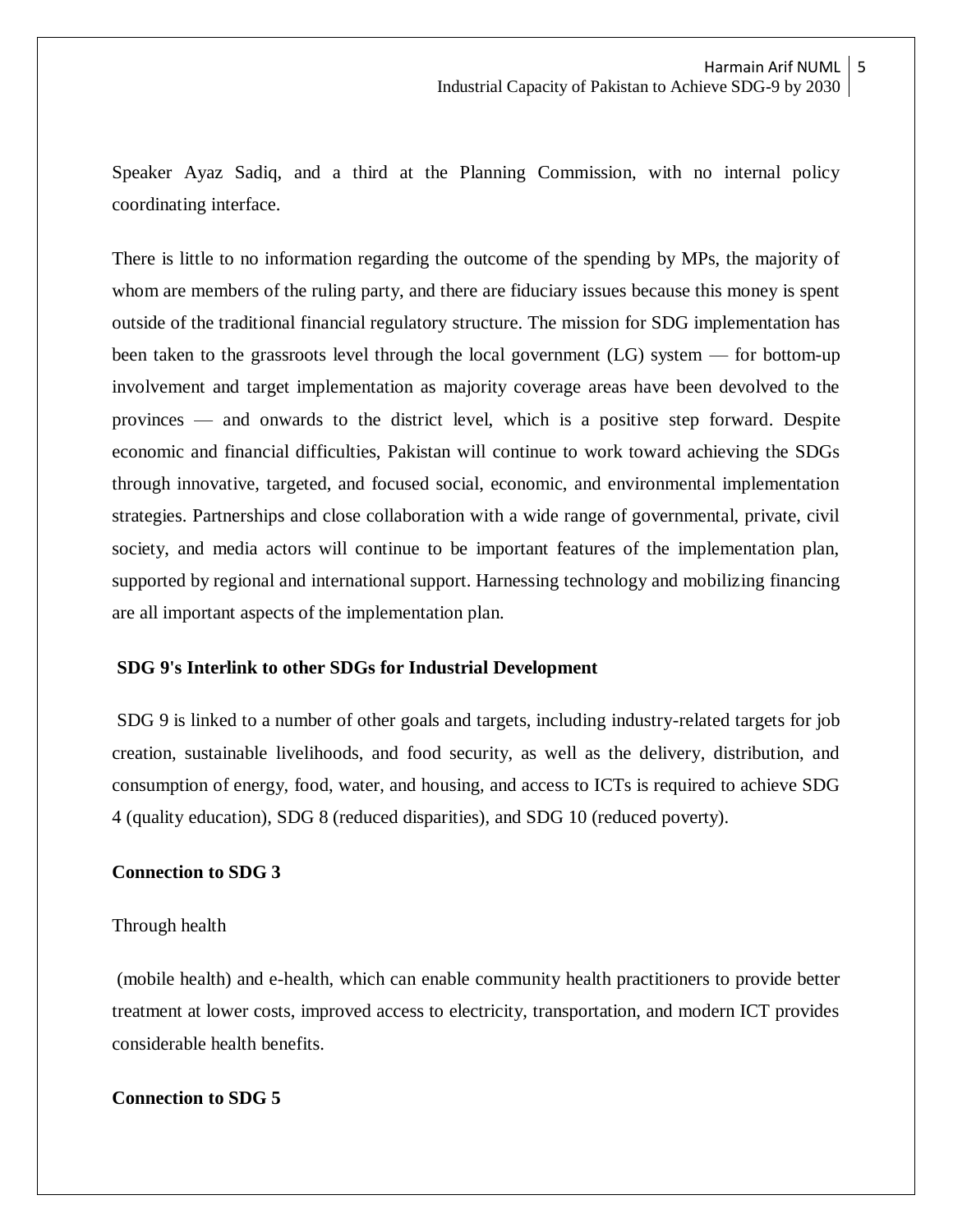Speaker Ayaz Sadiq, and a third at the Planning Commission, with no internal policy coordinating interface.

There is little to no information regarding the outcome of the spending by MPs, the majority of whom are members of the ruling party, and there are fiduciary issues because this money is spent outside of the traditional financial regulatory structure. The mission for SDG implementation has been taken to the grassroots level through the local government (LG) system — for bottom-up involvement and target implementation as majority coverage areas have been devolved to the provinces — and onwards to the district level, which is a positive step forward. Despite economic and financial difficulties, Pakistan will continue to work toward achieving the SDGs through innovative, targeted, and focused social, economic, and environmental implementation strategies. Partnerships and close collaboration with a wide range of governmental, private, civil society, and media actors will continue to be important features of the implementation plan, supported by regional and international support. Harnessing technology and mobilizing financing are all important aspects of the implementation plan.

### **SDG 9's Interlink to other SDGs for Industrial Development**

SDG 9 is linked to a number of other goals and targets, including industry-related targets for job creation, sustainable livelihoods, and food security, as well as the delivery, distribution, and consumption of energy, food, water, and housing, and access to ICTs is required to achieve SDG 4 (quality education), SDG 8 (reduced disparities), and SDG 10 (reduced poverty).

## **Connection to SDG 3**

#### Through health

(mobile health) and e-health, which can enable community health practitioners to provide better treatment at lower costs, improved access to electricity, transportation, and modern ICT provides considerable health benefits.

#### **Connection to SDG 5**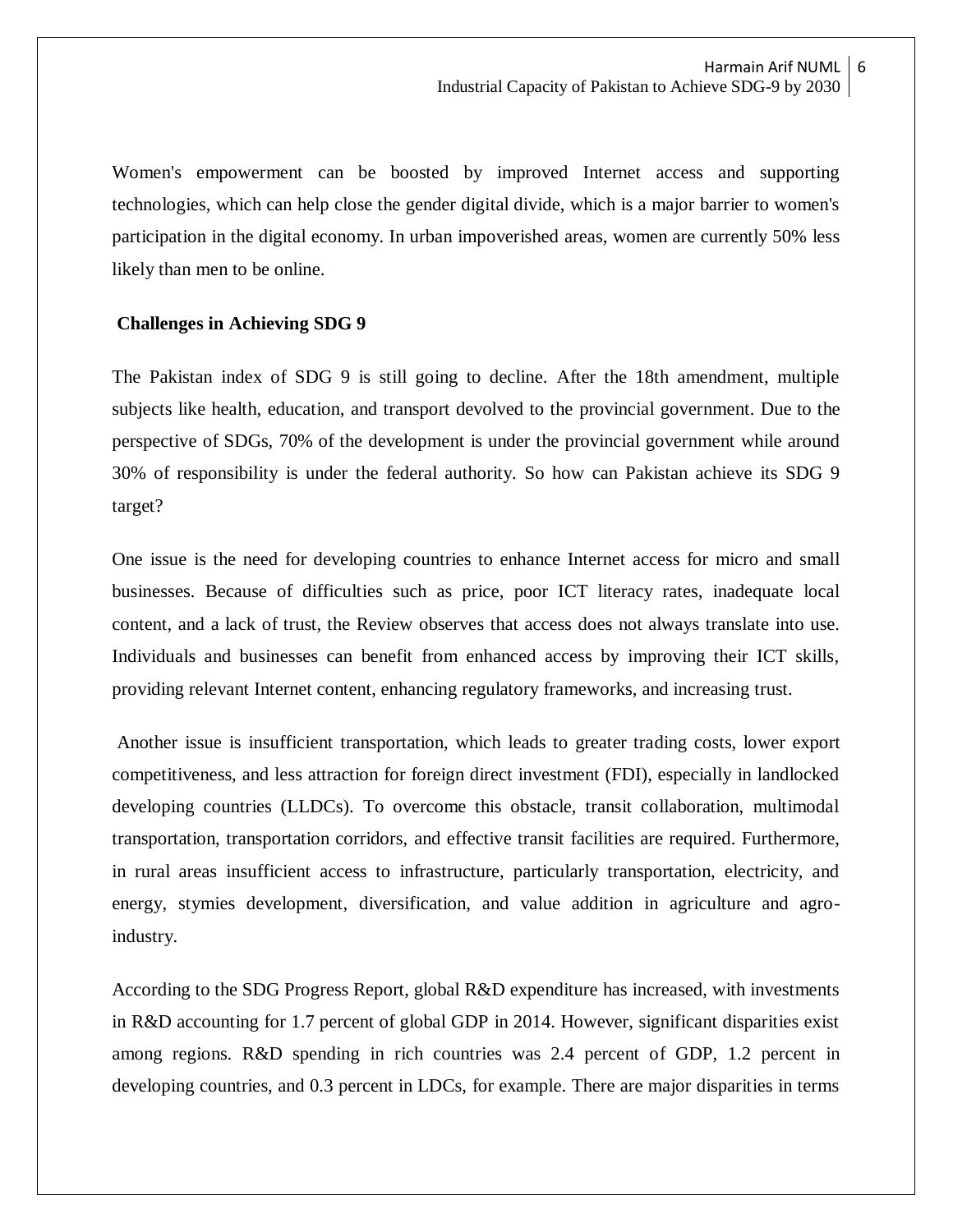Women's empowerment can be boosted by improved Internet access and supporting technologies, which can help close the gender digital divide, which is a major barrier to women's participation in the digital economy. In urban impoverished areas, women are currently 50% less likely than men to be online.

#### **Challenges in Achieving SDG 9**

The Pakistan index of SDG 9 is still going to decline. After the 18th amendment, multiple subjects like health, education, and transport devolved to the provincial government. Due to the perspective of SDGs, 70% of the development is under the provincial government while around 30% of responsibility is under the federal authority. So how can Pakistan achieve its SDG 9 target?

One issue is the need for developing countries to enhance Internet access for micro and small businesses. Because of difficulties such as price, poor ICT literacy rates, inadequate local content, and a lack of trust, the Review observes that access does not always translate into use. Individuals and businesses can benefit from enhanced access by improving their ICT skills, providing relevant Internet content, enhancing regulatory frameworks, and increasing trust.

Another issue is insufficient transportation, which leads to greater trading costs, lower export competitiveness, and less attraction for foreign direct investment (FDI), especially in landlocked developing countries (LLDCs). To overcome this obstacle, transit collaboration, multimodal transportation, transportation corridors, and effective transit facilities are required. Furthermore, in rural areas insufficient access to infrastructure, particularly transportation, electricity, and energy, stymies development, diversification, and value addition in agriculture and agroindustry.

According to the SDG Progress Report, global R&D expenditure has increased, with investments in R&D accounting for 1.7 percent of global GDP in 2014. However, significant disparities exist among regions. R&D spending in rich countries was 2.4 percent of GDP, 1.2 percent in developing countries, and 0.3 percent in LDCs, for example. There are major disparities in terms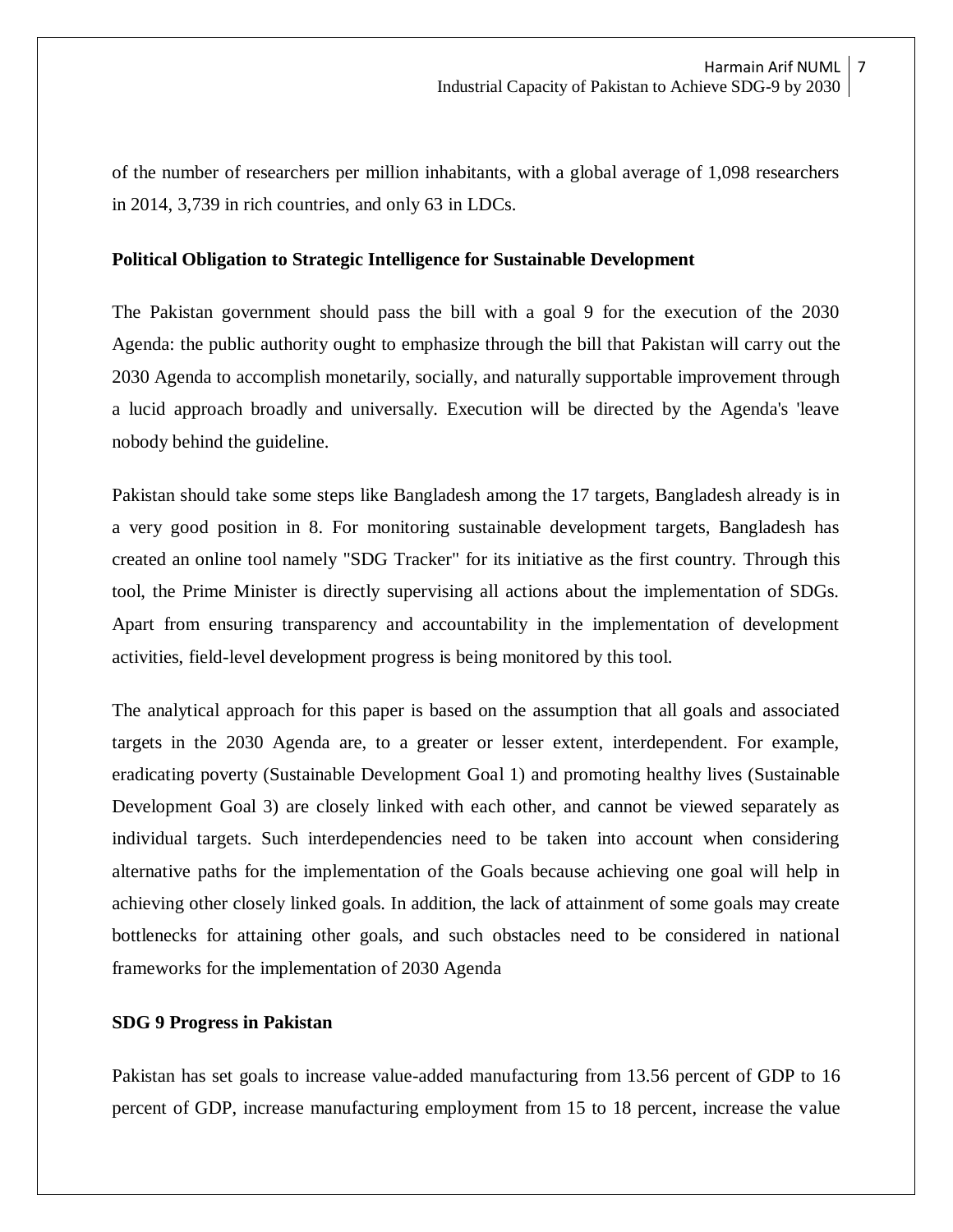of the number of researchers per million inhabitants, with a global average of 1,098 researchers in 2014, 3,739 in rich countries, and only 63 in LDCs.

#### **Political Obligation to Strategic Intelligence for Sustainable Development**

The Pakistan government should pass the bill with a goal 9 for the execution of the 2030 Agenda: the public authority ought to emphasize through the bill that Pakistan will carry out the 2030 Agenda to accomplish monetarily, socially, and naturally supportable improvement through a lucid approach broadly and universally. Execution will be directed by the Agenda's 'leave nobody behind the guideline.

Pakistan should take some steps like Bangladesh among the 17 targets, Bangladesh already is in a very good position in 8. For monitoring sustainable development targets, Bangladesh has created an online tool namely "SDG Tracker" for its initiative as the first country. Through this tool, the Prime Minister is directly supervising all actions about the implementation of SDGs. Apart from ensuring transparency and accountability in the implementation of development activities, field-level development progress is being monitored by this tool.

The analytical approach for this paper is based on the assumption that all goals and associated targets in the 2030 Agenda are, to a greater or lesser extent, interdependent. For example, eradicating poverty (Sustainable Development Goal 1) and promoting healthy lives (Sustainable Development Goal 3) are closely linked with each other, and cannot be viewed separately as individual targets. Such interdependencies need to be taken into account when considering alternative paths for the implementation of the Goals because achieving one goal will help in achieving other closely linked goals. In addition, the lack of attainment of some goals may create bottlenecks for attaining other goals, and such obstacles need to be considered in national frameworks for the implementation of 2030 Agenda

#### **SDG 9 Progress in Pakistan**

Pakistan has set goals to increase value-added manufacturing from 13.56 percent of GDP to 16 percent of GDP, increase manufacturing employment from 15 to 18 percent, increase the value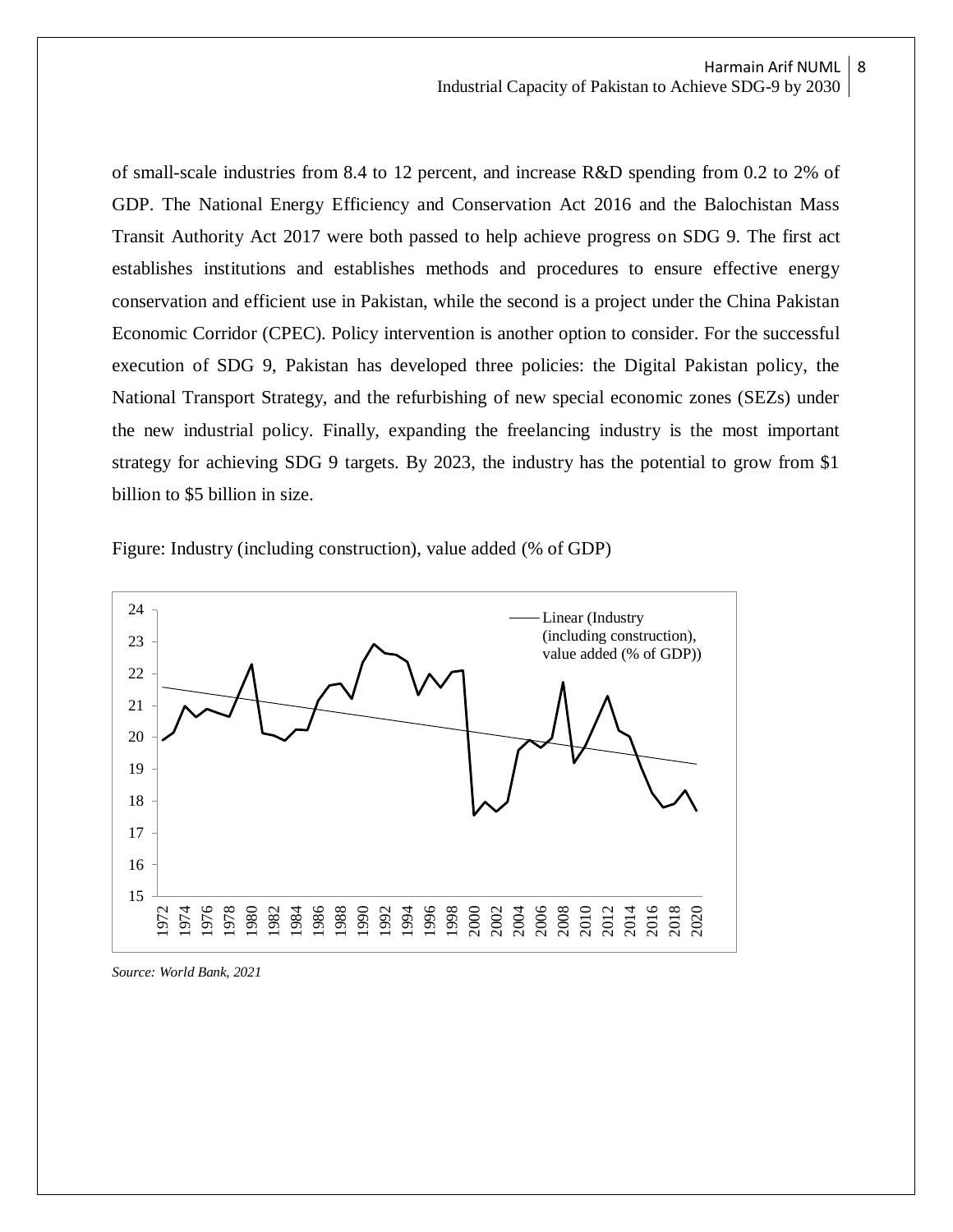of small-scale industries from 8.4 to 12 percent, and increase R&D spending from 0.2 to 2% of GDP. The National Energy Efficiency and Conservation Act 2016 and the Balochistan Mass Transit Authority Act 2017 were both passed to help achieve progress on SDG 9. The first act establishes institutions and establishes methods and procedures to ensure effective energy conservation and efficient use in Pakistan, while the second is a project under the China Pakistan Economic Corridor (CPEC). Policy intervention is another option to consider. For the successful execution of SDG 9, Pakistan has developed three policies: the Digital Pakistan policy, the National Transport Strategy, and the refurbishing of new special economic zones (SEZs) under the new industrial policy. Finally, expanding the freelancing industry is the most important strategy for achieving SDG 9 targets. By 2023, the industry has the potential to grow from \$1 billion to \$5 billion in size.

Figure: Industry (including construction), value added (% of GDP)



*Source: World Bank, 2021*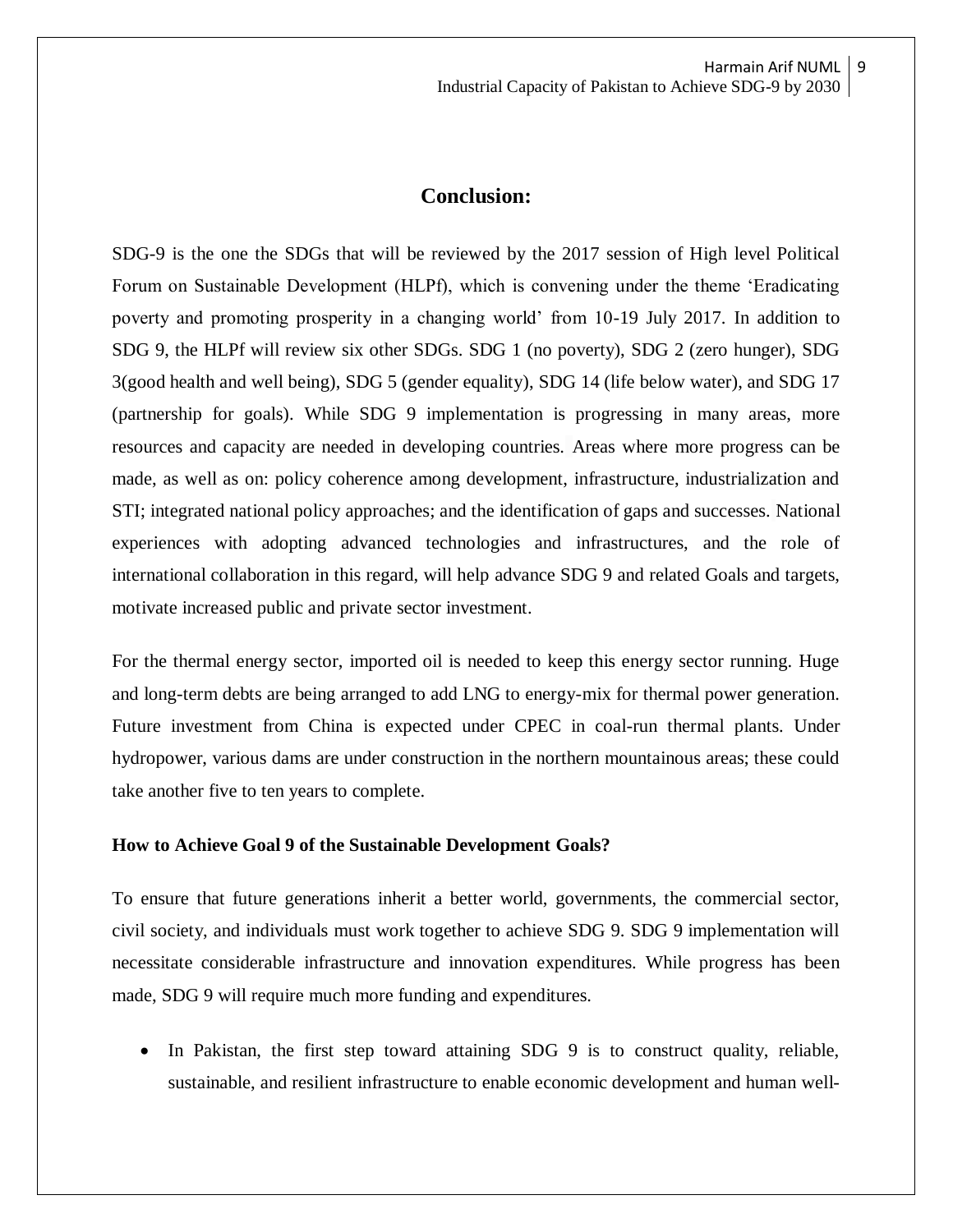## **Conclusion:**

SDG-9 is the one the SDGs that will be reviewed by the 2017 session of High level Political Forum on Sustainable Development (HLPf), which is convening under the theme 'Eradicating poverty and promoting prosperity in a changing world' from 10-19 July 2017. In addition to SDG 9, the HLPf will review six other SDGs. SDG 1 (no poverty), SDG 2 (zero hunger), SDG 3(good health and well being), SDG 5 (gender equality), SDG 14 (life below water), and SDG 17 (partnership for goals). While SDG 9 implementation is progressing in many areas, more resources and capacity are needed in developing countries. Areas where more progress can be made, as well as on: policy coherence among development, infrastructure, industrialization and STI; integrated national policy approaches; and the identification of gaps and successes. National experiences with adopting advanced technologies and infrastructures, and the role of international collaboration in this regard, will help advance SDG 9 and related Goals and targets, motivate increased public and private sector investment.

For the thermal energy sector, imported oil is needed to keep this energy sector running. Huge and long-term debts are being arranged to add LNG to energy-mix for thermal power generation. Future investment from China is expected under CPEC in coal-run thermal plants. Under hydropower, various dams are under construction in the northern mountainous areas; these could take another five to ten years to complete.

#### **How to Achieve Goal 9 of the Sustainable Development Goals?**

To ensure that future generations inherit a better world, governments, the commercial sector, civil society, and individuals must work together to achieve SDG 9. SDG 9 implementation will necessitate considerable infrastructure and innovation expenditures. While progress has been made, SDG 9 will require much more funding and expenditures.

• In Pakistan, the first step toward attaining SDG 9 is to construct quality, reliable, sustainable, and resilient infrastructure to enable economic development and human well-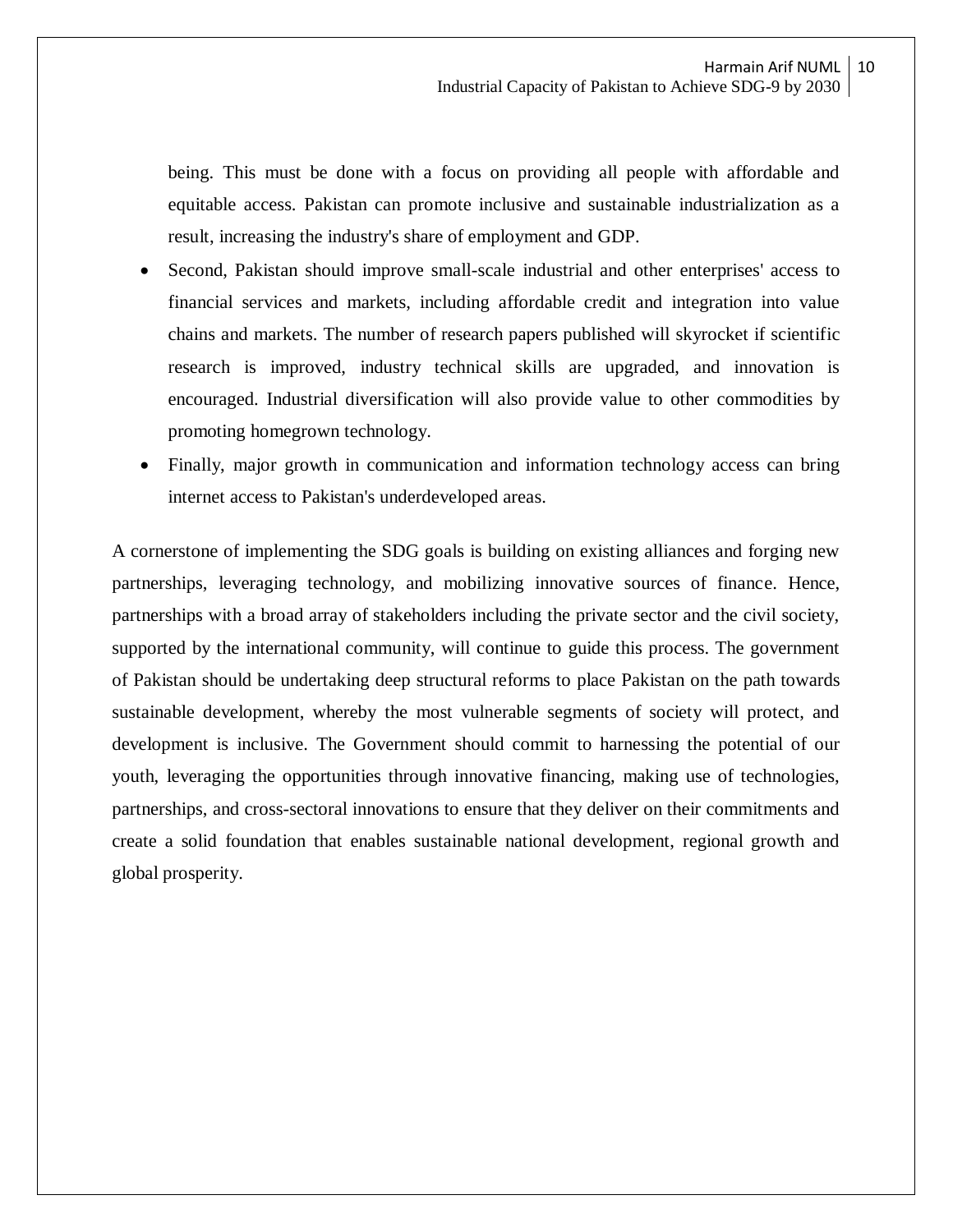being. This must be done with a focus on providing all people with affordable and equitable access. Pakistan can promote inclusive and sustainable industrialization as a result, increasing the industry's share of employment and GDP.

- Second, Pakistan should improve small-scale industrial and other enterprises' access to financial services and markets, including affordable credit and integration into value chains and markets. The number of research papers published will skyrocket if scientific research is improved, industry technical skills are upgraded, and innovation is encouraged. Industrial diversification will also provide value to other commodities by promoting homegrown technology.
- Finally, major growth in communication and information technology access can bring internet access to Pakistan's underdeveloped areas.

A cornerstone of implementing the SDG goals is building on existing alliances and forging new partnerships, leveraging technology, and mobilizing innovative sources of finance. Hence, partnerships with a broad array of stakeholders including the private sector and the civil society, supported by the international community, will continue to guide this process. The government of Pakistan should be undertaking deep structural reforms to place Pakistan on the path towards sustainable development, whereby the most vulnerable segments of society will protect, and development is inclusive. The Government should commit to harnessing the potential of our youth, leveraging the opportunities through innovative financing, making use of technologies, partnerships, and cross-sectoral innovations to ensure that they deliver on their commitments and create a solid foundation that enables sustainable national development, regional growth and global prosperity.